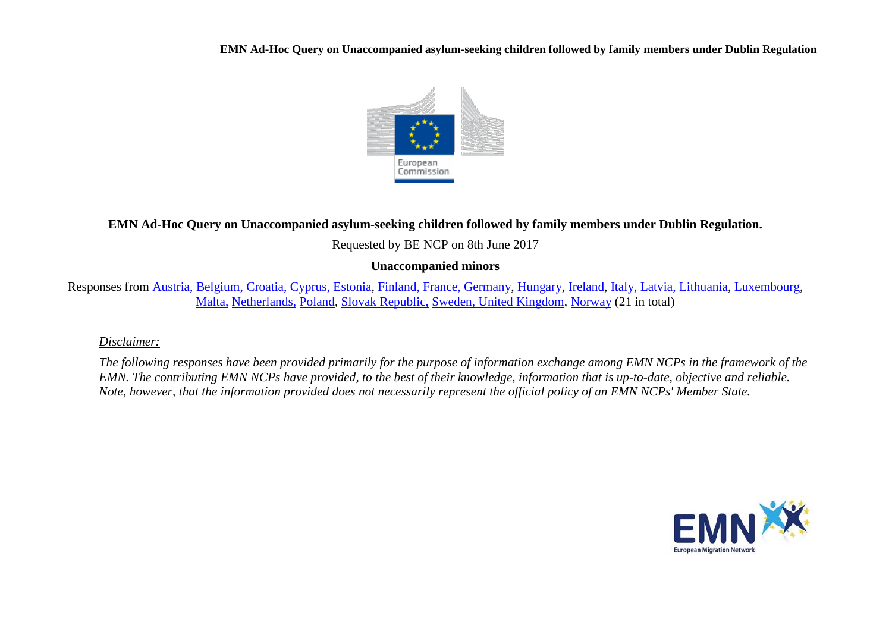**EMN Ad-Hoc Query on Unaccompanied asylum-seeking children followed by family members under Dublin Regulation**



## **EMN Ad-Hoc Query on Unaccompanied asylum-seeking children followed by family members under Dublin Regulation.**

Requested by BE NCP on 8th June 2017

## **Unaccompanied minors**

Responses from [Austria,](#page-1-0) [Belgium,](#page-2-0) [Croatia,](#page-3-0) [Cyprus,](#page-3-1) [Estonia,](#page-4-0) [Finland,](#page-4-1) [France,](#page-5-0) [Germany,](#page-5-1) [Hungary,](#page-6-0) [Ireland,](#page-6-1) [Italy,](#page-6-2) [Latvia, Lithuania,](#page-7-0) [Luxembourg,](#page-7-1) [Malta,](#page-8-0) [Netherlands,](#page-8-1) [Poland,](#page-9-0) [Slovak Republic,](#page-9-1) [Sweden, United Kingdom,](#page-10-0) [Norway](#page-11-0) (21 in total)

## *Disclaimer:*

*The following responses have been provided primarily for the purpose of information exchange among EMN NCPs in the framework of the EMN. The contributing EMN NCPs have provided, to the best of their knowledge, information that is up-to-date, objective and reliable. Note, however, that the information provided does not necessarily represent the official policy of an EMN NCPs' Member State.*

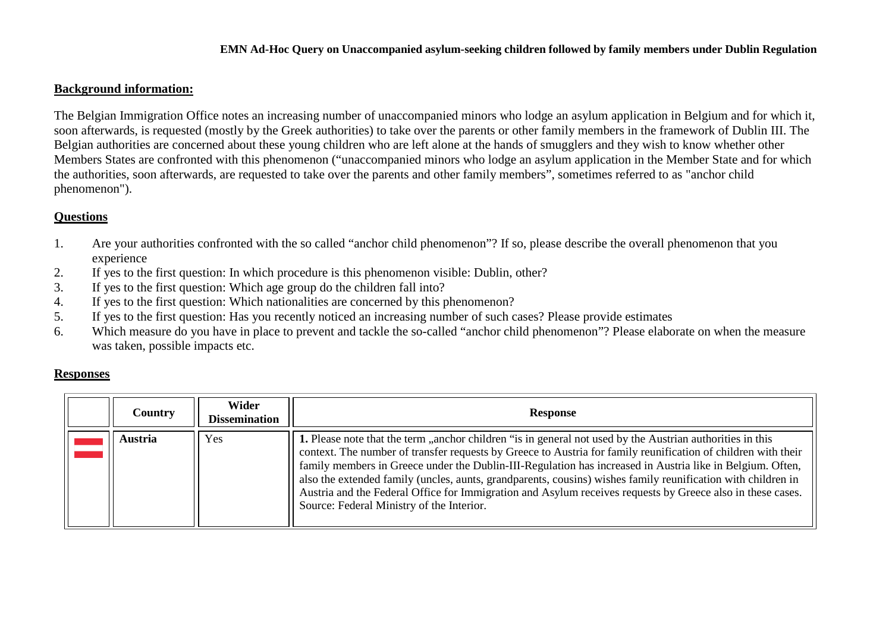#### **Background information:**

The Belgian Immigration Office notes an increasing number of unaccompanied minors who lodge an asylum application in Belgium and for which it, soon afterwards, is requested (mostly by the Greek authorities) to take over the parents or other family members in the framework of Dublin III. The Belgian authorities are concerned about these young children who are left alone at the hands of smugglers and they wish to know whether other Members States are confronted with this phenomenon ("unaccompanied minors who lodge an asylum application in the Member State and for which the authorities, soon afterwards, are requested to take over the parents and other family members", sometimes referred to as "anchor child phenomenon").

## **Questions**

- 1. Are your authorities confronted with the so called "anchor child phenomenon"? If so, please describe the overall phenomenon that you experience
- 2. If yes to the first question: In which procedure is this phenomenon visible: Dublin, other?
- 3. If yes to the first question: Which age group do the children fall into?
- 4. If yes to the first question: Which nationalities are concerned by this phenomenon?
- 5. If yes to the first question: Has you recently noticed an increasing number of such cases? Please provide estimates
- 6. Which measure do you have in place to prevent and tackle the so-called "anchor child phenomenon"? Please elaborate on when the measure was taken, possible impacts etc.

## **Responses**

<span id="page-1-0"></span>

| Country | Wider<br><b>Dissemination</b> | <b>Response</b>                                                                                                                                                                                                                                                                                                                                                                                                                                                                                                                                                                                                    |
|---------|-------------------------------|--------------------------------------------------------------------------------------------------------------------------------------------------------------------------------------------------------------------------------------------------------------------------------------------------------------------------------------------------------------------------------------------------------------------------------------------------------------------------------------------------------------------------------------------------------------------------------------------------------------------|
| Austria | Yes                           | 1. Please note that the term "anchor children "is in general not used by the Austrian authorities in this<br>context. The number of transfer requests by Greece to Austria for family reunification of children with their<br>family members in Greece under the Dublin-III-Regulation has increased in Austria like in Belgium. Often,<br>also the extended family (uncles, aunts, grandparents, cousins) wishes family reunification with children in<br>Austria and the Federal Office for Immigration and Asylum receives requests by Greece also in these cases.<br>Source: Federal Ministry of the Interior. |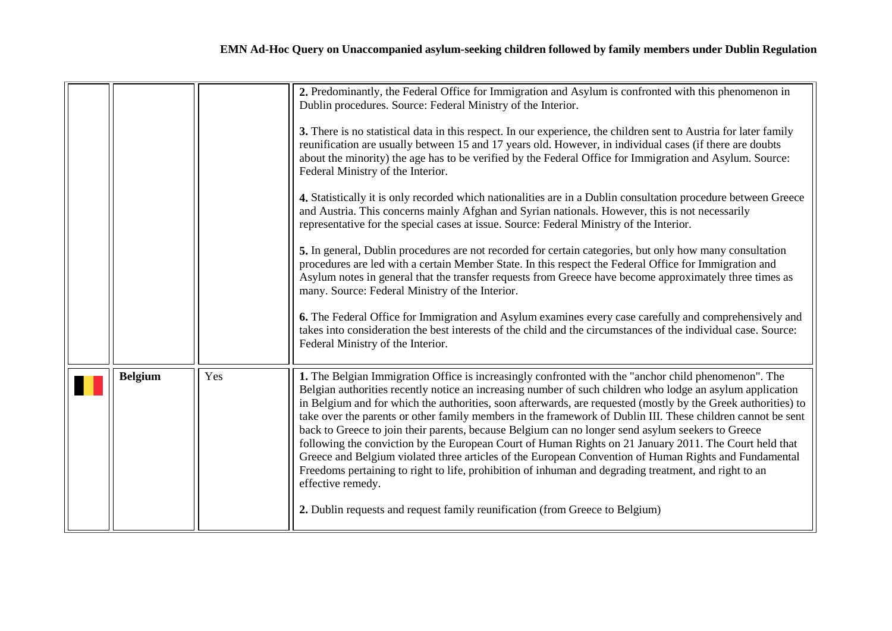<span id="page-2-0"></span>

|                |     | 2. Predominantly, the Federal Office for Immigration and Asylum is confronted with this phenomenon in<br>Dublin procedures. Source: Federal Ministry of the Interior.<br>3. There is no statistical data in this respect. In our experience, the children sent to Austria for later family<br>reunification are usually between 15 and 17 years old. However, in individual cases (if there are doubts<br>about the minority) the age has to be verified by the Federal Office for Immigration and Asylum. Source:<br>Federal Ministry of the Interior.<br>4. Statistically it is only recorded which nationalities are in a Dublin consultation procedure between Greece<br>and Austria. This concerns mainly Afghan and Syrian nationals. However, this is not necessarily<br>representative for the special cases at issue. Source: Federal Ministry of the Interior.<br>5. In general, Dublin procedures are not recorded for certain categories, but only how many consultation<br>procedures are led with a certain Member State. In this respect the Federal Office for Immigration and<br>Asylum notes in general that the transfer requests from Greece have become approximately three times as<br>many. Source: Federal Ministry of the Interior. |
|----------------|-----|--------------------------------------------------------------------------------------------------------------------------------------------------------------------------------------------------------------------------------------------------------------------------------------------------------------------------------------------------------------------------------------------------------------------------------------------------------------------------------------------------------------------------------------------------------------------------------------------------------------------------------------------------------------------------------------------------------------------------------------------------------------------------------------------------------------------------------------------------------------------------------------------------------------------------------------------------------------------------------------------------------------------------------------------------------------------------------------------------------------------------------------------------------------------------------------------------------------------------------------------------------------|
|                |     | <b>6.</b> The Federal Office for Immigration and Asylum examines every case carefully and comprehensively and<br>takes into consideration the best interests of the child and the circumstances of the individual case. Source:<br>Federal Ministry of the Interior.                                                                                                                                                                                                                                                                                                                                                                                                                                                                                                                                                                                                                                                                                                                                                                                                                                                                                                                                                                                         |
| <b>Belgium</b> | Yes | 1. The Belgian Immigration Office is increasingly confronted with the "anchor child phenomenon". The<br>Belgian authorities recently notice an increasing number of such children who lodge an asylum application<br>in Belgium and for which the authorities, soon afterwards, are requested (mostly by the Greek authorities) to<br>take over the parents or other family members in the framework of Dublin III. These children cannot be sent<br>back to Greece to join their parents, because Belgium can no longer send asylum seekers to Greece<br>following the conviction by the European Court of Human Rights on 21 January 2011. The Court held that<br>Greece and Belgium violated three articles of the European Convention of Human Rights and Fundamental<br>Freedoms pertaining to right to life, prohibition of inhuman and degrading treatment, and right to an<br>effective remedy.<br>2. Dublin requests and request family reunification (from Greece to Belgium)                                                                                                                                                                                                                                                                      |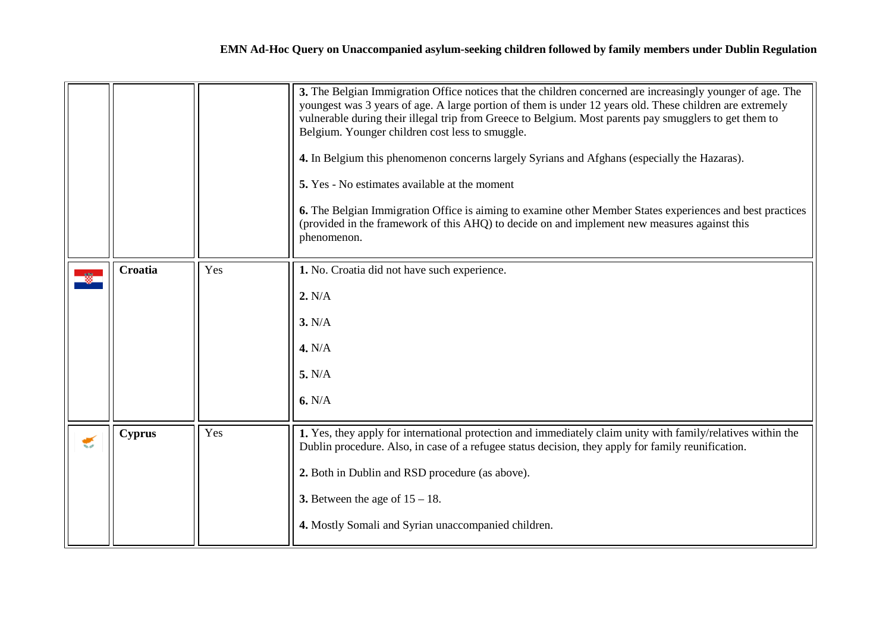<span id="page-3-1"></span><span id="page-3-0"></span>

|   |               |     | 3. The Belgian Immigration Office notices that the children concerned are increasingly younger of age. The<br>youngest was 3 years of age. A large portion of them is under 12 years old. These children are extremely<br>vulnerable during their illegal trip from Greece to Belgium. Most parents pay smugglers to get them to<br>Belgium. Younger children cost less to smuggle.<br>4. In Belgium this phenomenon concerns largely Syrians and Afghans (especially the Hazaras).<br>5. Yes - No estimates available at the moment<br><b>6.</b> The Belgian Immigration Office is aiming to examine other Member States experiences and best practices<br>(provided in the framework of this AHQ) to decide on and implement new measures against this<br>phenomenon. |
|---|---------------|-----|-------------------------------------------------------------------------------------------------------------------------------------------------------------------------------------------------------------------------------------------------------------------------------------------------------------------------------------------------------------------------------------------------------------------------------------------------------------------------------------------------------------------------------------------------------------------------------------------------------------------------------------------------------------------------------------------------------------------------------------------------------------------------|
|   | Croatia       | Yes | 1. No. Croatia did not have such experience.<br>2. N/A<br>3. N/A<br>4. N/A<br>5. N/A<br>6. N/A                                                                                                                                                                                                                                                                                                                                                                                                                                                                                                                                                                                                                                                                          |
| € | <b>Cyprus</b> | Yes | 1. Yes, they apply for international protection and immediately claim unity with family/relatives within the<br>Dublin procedure. Also, in case of a refugee status decision, they apply for family reunification.<br>2. Both in Dublin and RSD procedure (as above).<br>3. Between the age of $15 - 18$ .<br>4. Mostly Somali and Syrian unaccompanied children.                                                                                                                                                                                                                                                                                                                                                                                                       |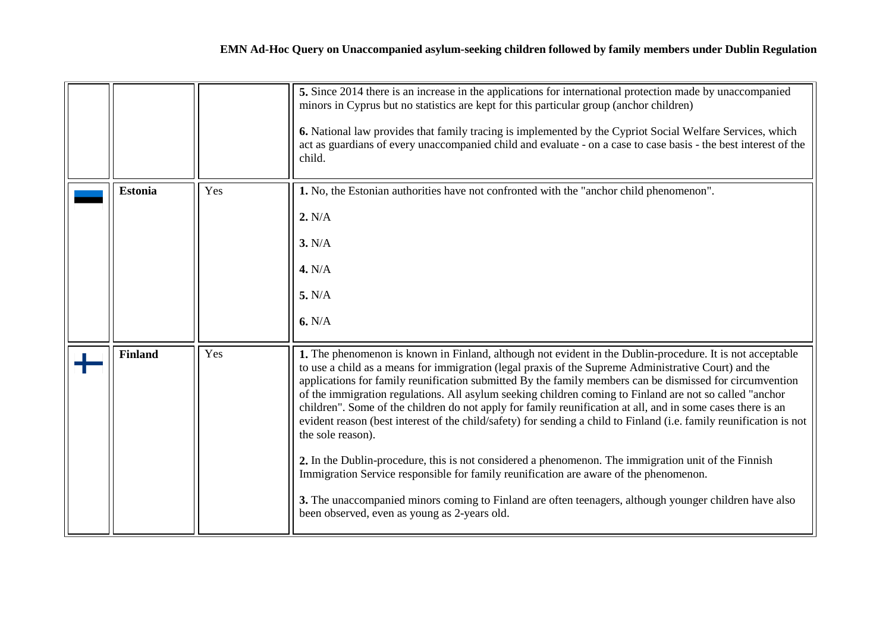<span id="page-4-1"></span><span id="page-4-0"></span>

|                |     | 5. Since 2014 there is an increase in the applications for international protection made by unaccompanied<br>minors in Cyprus but no statistics are kept for this particular group (anchor children)<br>6. National law provides that family tracing is implemented by the Cypriot Social Welfare Services, which<br>act as guardians of every unaccompanied child and evaluate - on a case to case basis - the best interest of the<br>child.                                                                                                                                                                                                                                                                                                                                                                                                                                                                                                                                                                                                                 |
|----------------|-----|----------------------------------------------------------------------------------------------------------------------------------------------------------------------------------------------------------------------------------------------------------------------------------------------------------------------------------------------------------------------------------------------------------------------------------------------------------------------------------------------------------------------------------------------------------------------------------------------------------------------------------------------------------------------------------------------------------------------------------------------------------------------------------------------------------------------------------------------------------------------------------------------------------------------------------------------------------------------------------------------------------------------------------------------------------------|
| <b>Estonia</b> | Yes | 1. No, the Estonian authorities have not confronted with the "anchor child phenomenon".<br>2. N/A<br>3. N/A<br>4. N/A<br>5. N/A<br>6. N/A                                                                                                                                                                                                                                                                                                                                                                                                                                                                                                                                                                                                                                                                                                                                                                                                                                                                                                                      |
| <b>Finland</b> | Yes | 1. The phenomenon is known in Finland, although not evident in the Dublin-procedure. It is not acceptable<br>to use a child as a means for immigration (legal praxis of the Supreme Administrative Court) and the<br>applications for family reunification submitted By the family members can be dismissed for circumvention<br>of the immigration regulations. All asylum seeking children coming to Finland are not so called "anchor<br>children". Some of the children do not apply for family reunification at all, and in some cases there is an<br>evident reason (best interest of the child/safety) for sending a child to Finland (i.e. family reunification is not<br>the sole reason).<br>2. In the Dublin-procedure, this is not considered a phenomenon. The immigration unit of the Finnish<br>Immigration Service responsible for family reunification are aware of the phenomenon.<br>3. The unaccompanied minors coming to Finland are often teenagers, although younger children have also<br>been observed, even as young as 2-years old. |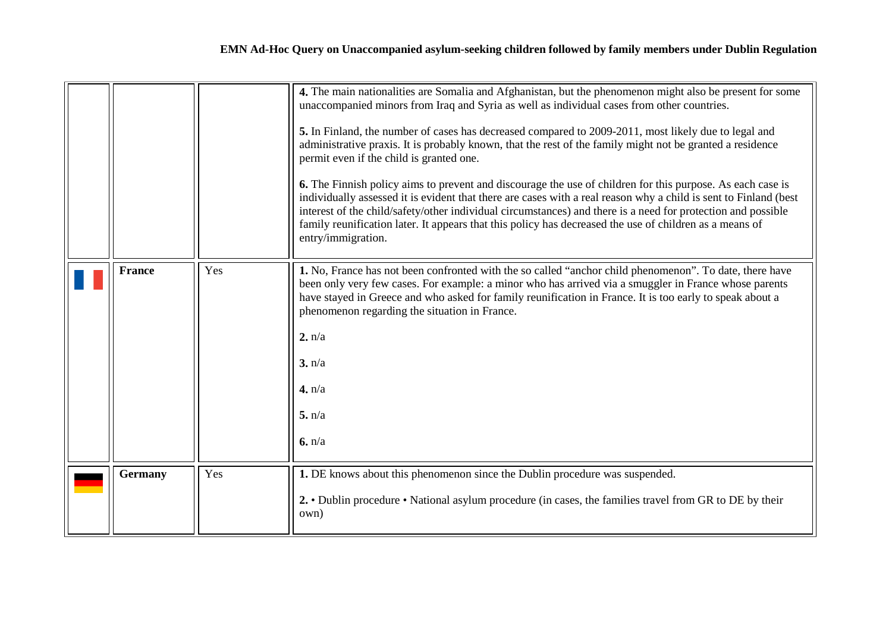<span id="page-5-1"></span><span id="page-5-0"></span>

|                |     | 4. The main nationalities are Somalia and Afghanistan, but the phenomenon might also be present for some<br>unaccompanied minors from Iraq and Syria as well as individual cases from other countries.<br>5. In Finland, the number of cases has decreased compared to 2009-2011, most likely due to legal and<br>administrative praxis. It is probably known, that the rest of the family might not be granted a residence<br>permit even if the child is granted one.<br><b>6.</b> The Finnish policy aims to prevent and discourage the use of children for this purpose. As each case is<br>individually assessed it is evident that there are cases with a real reason why a child is sent to Finland (best<br>interest of the child/safety/other individual circumstances) and there is a need for protection and possible<br>family reunification later. It appears that this policy has decreased the use of children as a means of<br>entry/immigration. |
|----------------|-----|-------------------------------------------------------------------------------------------------------------------------------------------------------------------------------------------------------------------------------------------------------------------------------------------------------------------------------------------------------------------------------------------------------------------------------------------------------------------------------------------------------------------------------------------------------------------------------------------------------------------------------------------------------------------------------------------------------------------------------------------------------------------------------------------------------------------------------------------------------------------------------------------------------------------------------------------------------------------|
| <b>France</b>  | Yes | 1. No, France has not been confronted with the so called "anchor child phenomenon". To date, there have<br>been only very few cases. For example: a minor who has arrived via a smuggler in France whose parents<br>have stayed in Greece and who asked for family reunification in France. It is too early to speak about a<br>phenomenon regarding the situation in France.<br>2. n/a<br>3. n/a<br>4. n/a<br>5. n/a<br>6. n/a                                                                                                                                                                                                                                                                                                                                                                                                                                                                                                                                   |
| <b>Germany</b> | Yes | 1. DE knows about this phenomenon since the Dublin procedure was suspended.<br>2. • Dublin procedure • National asylum procedure (in cases, the families travel from GR to DE by their<br>own)                                                                                                                                                                                                                                                                                                                                                                                                                                                                                                                                                                                                                                                                                                                                                                    |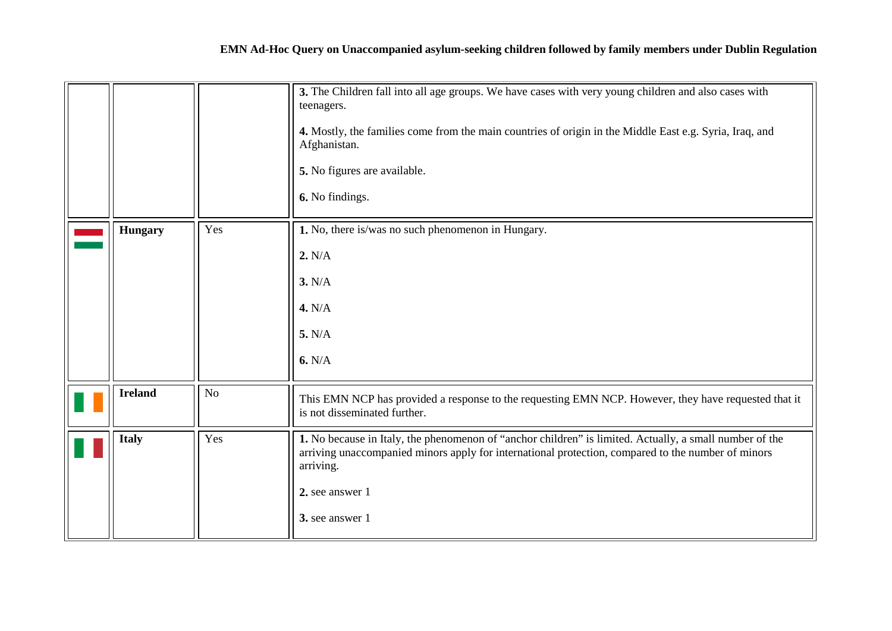<span id="page-6-2"></span><span id="page-6-1"></span><span id="page-6-0"></span>

|                |     | 3. The Children fall into all age groups. We have cases with very young children and also cases with<br>teenagers.<br>4. Mostly, the families come from the main countries of origin in the Middle East e.g. Syria, Iraq, and<br>Afghanistan.<br>5. No figures are available.<br>6. No findings. |
|----------------|-----|--------------------------------------------------------------------------------------------------------------------------------------------------------------------------------------------------------------------------------------------------------------------------------------------------|
| <b>Hungary</b> | Yes | 1. No, there is/was no such phenomenon in Hungary.<br>2. N/A<br>3. N/A<br>4. N/A<br>5. N/A<br>6. N/A                                                                                                                                                                                             |
|                |     |                                                                                                                                                                                                                                                                                                  |
| <b>Ireland</b> | No  | This EMN NCP has provided a response to the requesting EMN NCP. However, they have requested that it<br>is not disseminated further.                                                                                                                                                             |
| <b>Italy</b>   | Yes | 1. No because in Italy, the phenomenon of "anchor children" is limited. Actually, a small number of the<br>arriving unaccompanied minors apply for international protection, compared to the number of minors<br>arriving.<br>2. see answer 1<br>3. see answer 1                                 |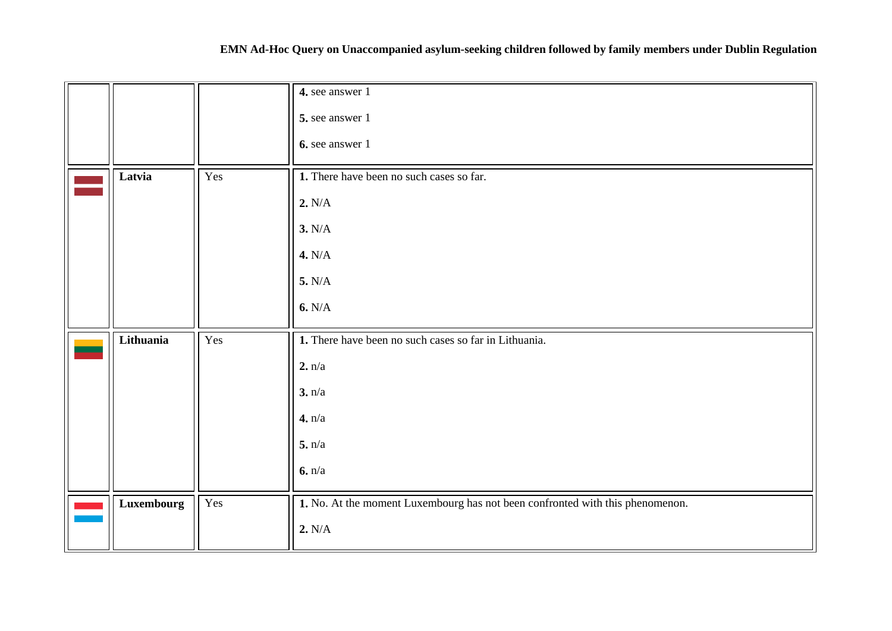# **EMN Ad-Hoc Query on Unaccompanied asylum-seeking children followed by family members under Dublin Regulation**

<span id="page-7-1"></span><span id="page-7-0"></span>

|            |     | 4. see answer 1                                                               |
|------------|-----|-------------------------------------------------------------------------------|
|            |     | 5. see answer 1                                                               |
|            |     | 6. see answer 1                                                               |
| Latvia     | Yes | 1. There have been no such cases so far.                                      |
|            |     | 2. N/A                                                                        |
|            |     | 3. N/A                                                                        |
|            |     | 4. N/A                                                                        |
|            |     | 5. N/A                                                                        |
|            |     | 6. N/A                                                                        |
| Lithuania  | Yes | 1. There have been no such cases so far in Lithuania.                         |
|            |     | 2. n/a                                                                        |
|            |     | 3. n/a                                                                        |
|            |     | 4. n/a                                                                        |
|            |     | 5. n/a                                                                        |
|            |     | 6. n/a                                                                        |
| Luxembourg | Yes | 1. No. At the moment Luxembourg has not been confronted with this phenomenon. |
|            |     | 2. N/A                                                                        |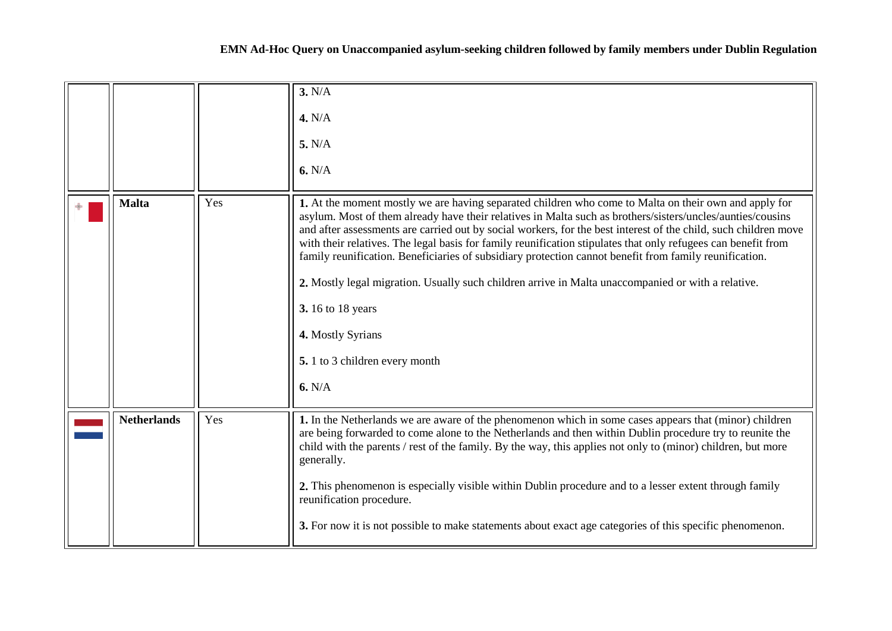<span id="page-8-1"></span><span id="page-8-0"></span>

|                    |     | 3. N/A<br>4. N/A<br>5. N/A<br>6. N/A                                                                                                                                                                                                                                                                                                                                                                                                                                                                                                                                                                                                                                                                                                                                 |
|--------------------|-----|----------------------------------------------------------------------------------------------------------------------------------------------------------------------------------------------------------------------------------------------------------------------------------------------------------------------------------------------------------------------------------------------------------------------------------------------------------------------------------------------------------------------------------------------------------------------------------------------------------------------------------------------------------------------------------------------------------------------------------------------------------------------|
| <b>Malta</b>       | Yes | 1. At the moment mostly we are having separated children who come to Malta on their own and apply for<br>asylum. Most of them already have their relatives in Malta such as brothers/sisters/uncles/aunties/cousins<br>and after assessments are carried out by social workers, for the best interest of the child, such children move<br>with their relatives. The legal basis for family reunification stipulates that only refugees can benefit from<br>family reunification. Beneficiaries of subsidiary protection cannot benefit from family reunification.<br>2. Mostly legal migration. Usually such children arrive in Malta unaccompanied or with a relative.<br><b>3.</b> 16 to 18 years<br>4. Mostly Syrians<br>5. 1 to 3 children every month<br>6. N/A |
| <b>Netherlands</b> | Yes | 1. In the Netherlands we are aware of the phenomenon which in some cases appears that (minor) children<br>are being forwarded to come alone to the Netherlands and then within Dublin procedure try to reunite the<br>child with the parents / rest of the family. By the way, this applies not only to (minor) children, but more<br>generally.<br>2. This phenomenon is especially visible within Dublin procedure and to a lesser extent through family<br>reunification procedure.<br>3. For now it is not possible to make statements about exact age categories of this specific phenomenon.                                                                                                                                                                   |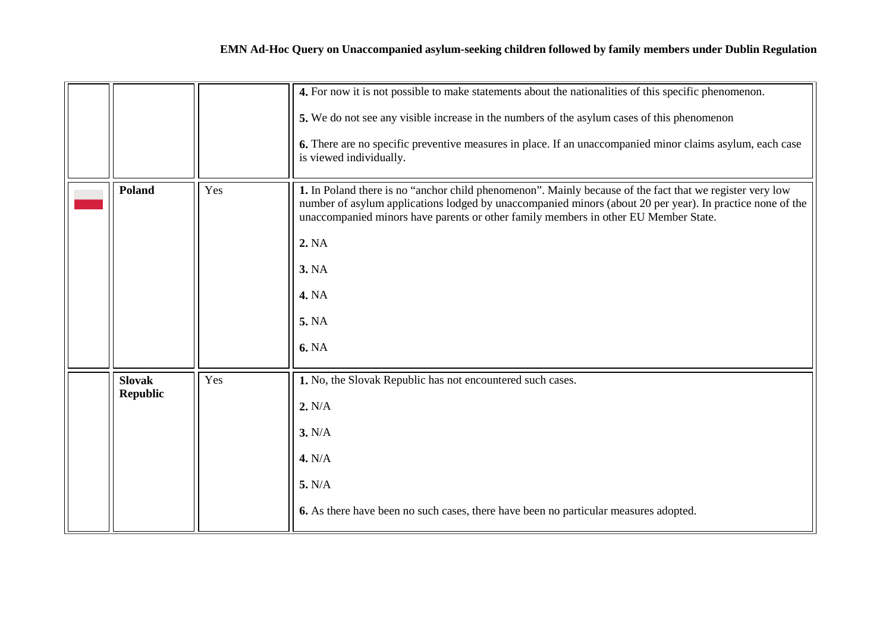<span id="page-9-1"></span><span id="page-9-0"></span>

|                 |     | 4. For now it is not possible to make statements about the nationalities of this specific phenomenon.                                                                                                                                                                                                        |
|-----------------|-----|--------------------------------------------------------------------------------------------------------------------------------------------------------------------------------------------------------------------------------------------------------------------------------------------------------------|
|                 |     | 5. We do not see any visible increase in the numbers of the asylum cases of this phenomenon                                                                                                                                                                                                                  |
|                 |     | 6. There are no specific preventive measures in place. If an unaccompanied minor claims asylum, each case<br>is viewed individually.                                                                                                                                                                         |
| <b>Poland</b>   | Yes | 1. In Poland there is no "anchor child phenomenon". Mainly because of the fact that we register very low<br>number of asylum applications lodged by unaccompanied minors (about 20 per year). In practice none of the<br>unaccompanied minors have parents or other family members in other EU Member State. |
|                 |     | 2. NA                                                                                                                                                                                                                                                                                                        |
|                 |     | <b>3. NA</b>                                                                                                                                                                                                                                                                                                 |
|                 |     | <b>4. NA</b>                                                                                                                                                                                                                                                                                                 |
|                 |     | 5. NA                                                                                                                                                                                                                                                                                                        |
|                 |     | <b>6. NA</b>                                                                                                                                                                                                                                                                                                 |
| <b>Slovak</b>   | Yes | 1. No, the Slovak Republic has not encountered such cases.                                                                                                                                                                                                                                                   |
| <b>Republic</b> |     | 2. N/A                                                                                                                                                                                                                                                                                                       |
|                 |     | 3. N/A                                                                                                                                                                                                                                                                                                       |
|                 |     | 4. N/A                                                                                                                                                                                                                                                                                                       |
|                 |     | 5. N/A                                                                                                                                                                                                                                                                                                       |
|                 |     | 6. As there have been no such cases, there have been no particular measures adopted.                                                                                                                                                                                                                         |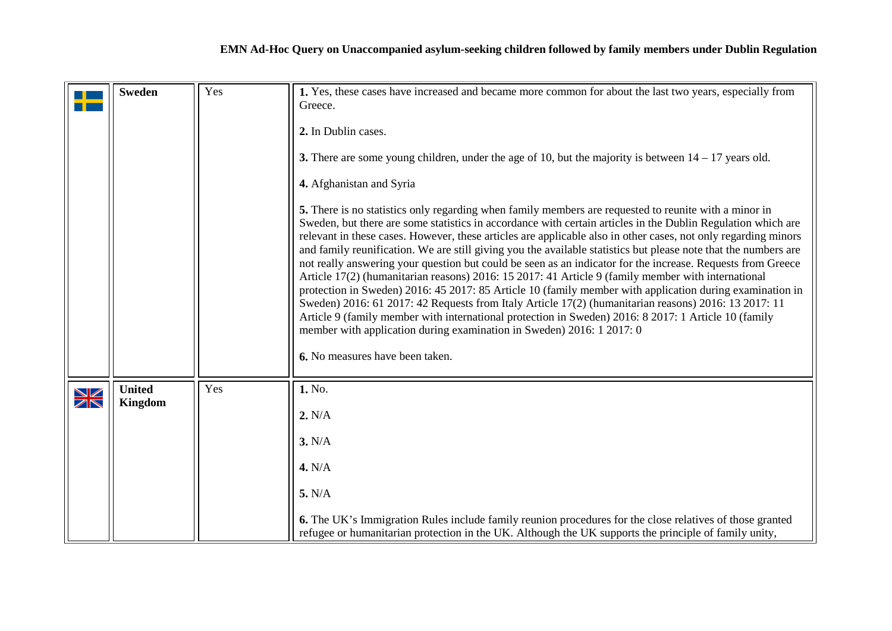<span id="page-10-0"></span>

|               | <b>Sweden</b>            | Yes | 1. Yes, these cases have increased and became more common for about the last two years, especially from<br>Greece.<br>2. In Dublin cases.<br>3. There are some young children, under the age of 10, but the majority is between $14 - 17$ years old.<br>4. Afghanistan and Syria<br>5. There is no statistics only regarding when family members are requested to reunite with a minor in<br>Sweden, but there are some statistics in accordance with certain articles in the Dublin Regulation which are<br>relevant in these cases. However, these articles are applicable also in other cases, not only regarding minors<br>and family reunification. We are still giving you the available statistics but please note that the numbers are<br>not really answering your question but could be seen as an indicator for the increase. Requests from Greece<br>Article 17(2) (humanitarian reasons) 2016: 15 2017: 41 Article 9 (family member with international<br>protection in Sweden) 2016: 45 2017: 85 Article 10 (family member with application during examination in<br>Sweden) 2016: 61 2017: 42 Requests from Italy Article 17(2) (humanitarian reasons) 2016: 13 2017: 11<br>Article 9 (family member with international protection in Sweden) 2016: 8 2017: 1 Article 10 (family<br>member with application during examination in Sweden) 2016: 1 2017: 0<br>6. No measures have been taken. |
|---------------|--------------------------|-----|-------------------------------------------------------------------------------------------------------------------------------------------------------------------------------------------------------------------------------------------------------------------------------------------------------------------------------------------------------------------------------------------------------------------------------------------------------------------------------------------------------------------------------------------------------------------------------------------------------------------------------------------------------------------------------------------------------------------------------------------------------------------------------------------------------------------------------------------------------------------------------------------------------------------------------------------------------------------------------------------------------------------------------------------------------------------------------------------------------------------------------------------------------------------------------------------------------------------------------------------------------------------------------------------------------------------------------------------------------------------------------------------------------------|
| $\frac{N}{N}$ | <b>United</b><br>Kingdom | Yes | 1. No.<br>2. N/A<br>3. N/A<br>4. N/A<br>5. N/A<br>6. The UK's Immigration Rules include family reunion procedures for the close relatives of those granted<br>refugee or humanitarian protection in the UK. Although the UK supports the principle of family unity,                                                                                                                                                                                                                                                                                                                                                                                                                                                                                                                                                                                                                                                                                                                                                                                                                                                                                                                                                                                                                                                                                                                                         |